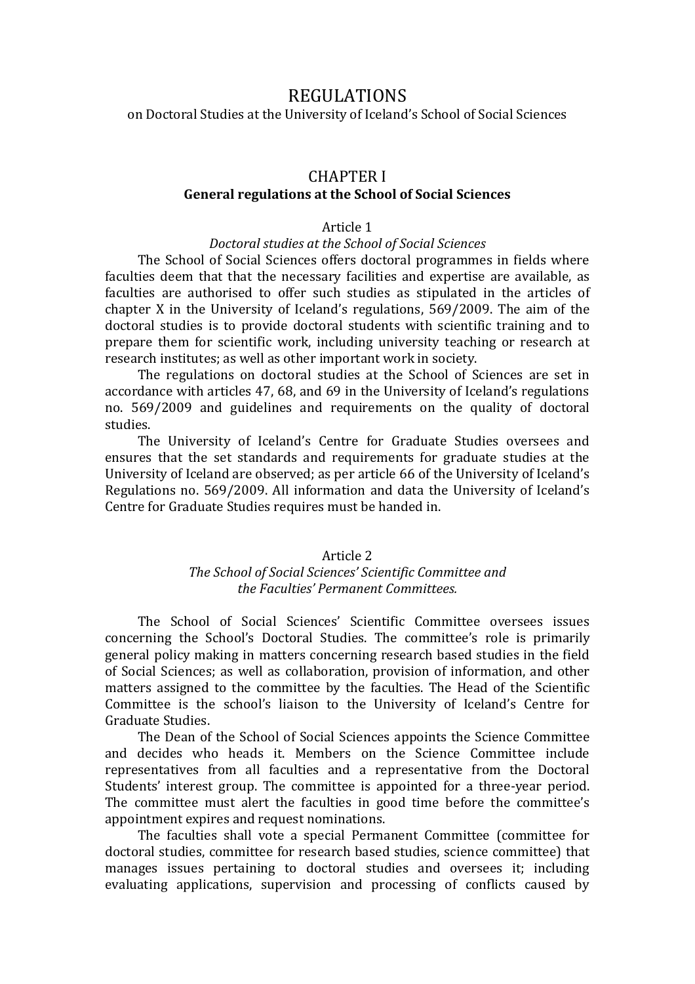# REGULATIONS

on Doctoral Studies at the University of Iceland's School of Social Sciences

# CHAPTER I

### **General regulations at the School of Social Sciences**

# Article 1

### *Doctoral studies at the School of Social Sciences*

The School of Social Sciences offers doctoral programmes in fields where faculties deem that that the necessary facilities and expertise are available, as faculties are authorised to offer such studies as stipulated in the articles of chapter X in the University of Iceland's regulations, 569/2009. The aim of the doctoral studies is to provide doctoral students with scientific training and to prepare them for scientific work, including university teaching or research at research institutes; as well as other important work in society.

The regulations on doctoral studies at the School of Sciences are set in accordance with articles 47, 68, and 69 in the University of Iceland's regulations no. 569/2009 and guidelines and requirements on the quality of doctoral studies.

The University of Iceland's Centre for Graduate Studies oversees and ensures that the set standards and requirements for graduate studies at the University of Iceland are observed; as per article 66 of the University of Iceland's Regulations no. 569/2009. All information and data the University of Iceland's Centre for Graduate Studies requires must be handed in.

## Article 2

# *The School of Social Sciences' Scientific Committee and the Faculties' Permanent Committees.*

The School of Social Sciences' Scientific Committee oversees issues concerning the School's Doctoral Studies. The committee's role is primarily general policy making in matters concerning research based studies in the field of Social Sciences; as well as collaboration, provision of information, and other matters assigned to the committee by the faculties. The Head of the Scientific Committee is the school's liaison to the University of Iceland's Centre for Graduate Studies.

The Dean of the School of Social Sciences appoints the Science Committee and decides who heads it. Members on the Science Committee include representatives from all faculties and a representative from the Doctoral Students' interest group. The committee is appointed for a three-year period. The committee must alert the faculties in good time before the committee's appointment expires and request nominations.

The faculties shall vote a special Permanent Committee (committee for doctoral studies, committee for research based studies, science committee) that manages issues pertaining to doctoral studies and oversees it; including evaluating applications, supervision and processing of conflicts caused by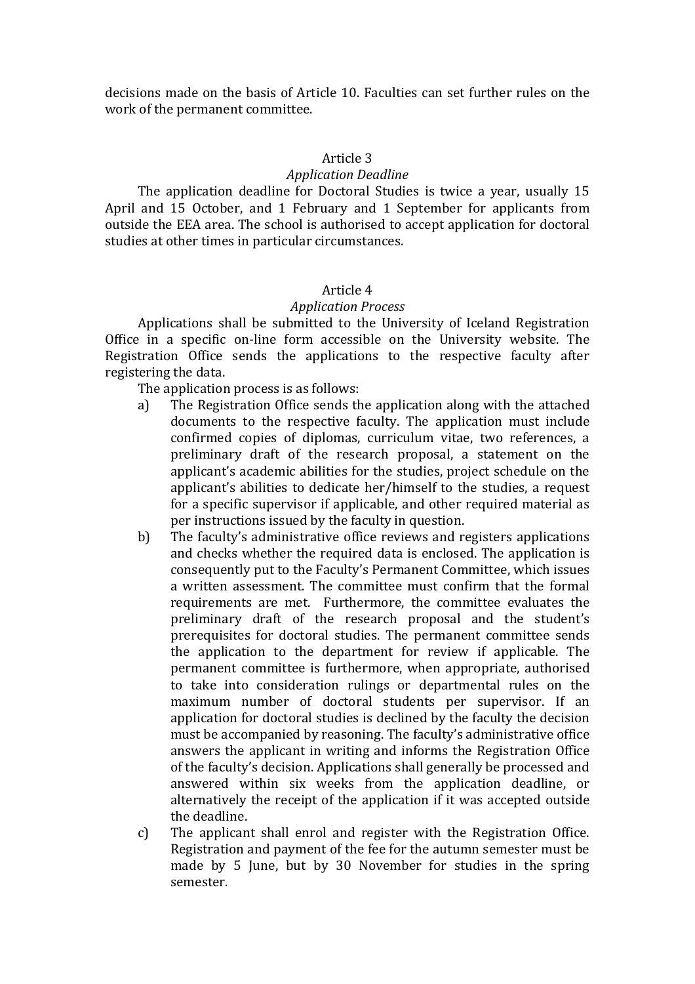decisions made on the basis of Article 10. Faculties can set further rules on the work of the permanent committee.

#### Article 3

#### *Application Deadline*

The application deadline for Doctoral Studies is twice a year, usually 15 April and 15 October, and 1 February and 1 September for applicants from outside the EEA area. The school is authorised to accept application for doctoral studies at other times in particular circumstances.

# Article 4

#### *Application Process*

Applications shall be submitted to the University of Iceland Registration Office in a specific on-line form accessible on the University website. The Registration Office sends the applications to the respective faculty after registering the data.

The application process is as follows:

- a) The Registration Office sends the application along with the attached documents to the respective faculty. The application must include confirmed copies of diplomas, curriculum vitae, two references, a preliminary draft of the research proposal, a statement on the applicant's academic abilities for the studies, project schedule on the applicant's abilities to dedicate her/himself to the studies, a request for a specific supervisor if applicable, and other required material as per instructions issued by the faculty in question.
- b) The faculty's administrative office reviews and registers applications and checks whether the required data is enclosed. The application is consequently put to the Faculty's Permanent Committee, which issues a written assessment. The committee must confirm that the formal requirements are met. Furthermore, the committee evaluates the preliminary draft of the research proposal and the student's prerequisites for doctoral studies. The permanent committee sends the application to the department for review if applicable. The permanent committee is furthermore, when appropriate, authorised to take into consideration rulings or departmental rules on the maximum number of doctoral students per supervisor. If an application for doctoral studies is declined by the faculty the decision must be accompanied by reasoning. The faculty's administrative office answers the applicant in writing and informs the Registration Office of the faculty's decision. Applications shall generally be processed and answered within six weeks from the application deadline, or alternatively the receipt of the application if it was accepted outside the deadline.
- c) The applicant shall enrol and register with the Registration Office. Registration and payment of the fee for the autumn semester must be made by 5 June, but by 30 November for studies in the spring semester.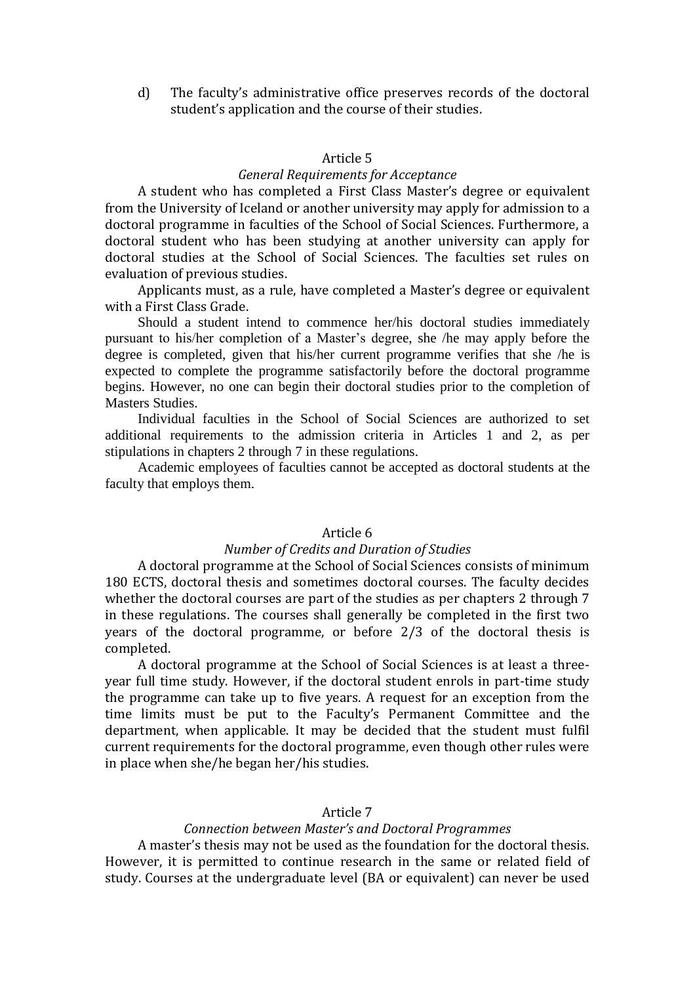d) The faculty's administrative office preserves records of the doctoral student's application and the course of their studies.

#### Article 5

### *General Requirements for Acceptance*

A student who has completed a First Class Master's degree or equivalent from the University of Iceland or another university may apply for admission to a doctoral programme in faculties of the School of Social Sciences. Furthermore, a doctoral student who has been studying at another university can apply for doctoral studies at the School of Social Sciences. The faculties set rules on evaluation of previous studies.

Applicants must, as a rule, have completed a Master's degree or equivalent with a First Class Grade.

Should a student intend to commence her/his doctoral studies immediately pursuant to his/her completion of a Master's degree, she /he may apply before the degree is completed, given that his/her current programme verifies that she /he is expected to complete the programme satisfactorily before the doctoral programme begins. However, no one can begin their doctoral studies prior to the completion of Masters Studies.

Individual faculties in the School of Social Sciences are authorized to set additional requirements to the admission criteria in Articles 1 and 2, as per stipulations in chapters 2 through 7 in these regulations.

Academic employees of faculties cannot be accepted as doctoral students at the faculty that employs them.

# Article 6

# *Number of Credits and Duration of Studies*

A doctoral programme at the School of Social Sciences consists of minimum 180 ECTS, doctoral thesis and sometimes doctoral courses. The faculty decides whether the doctoral courses are part of the studies as per chapters 2 through 7 in these regulations. The courses shall generally be completed in the first two years of the doctoral programme, or before 2/3 of the doctoral thesis is completed.

A doctoral programme at the School of Social Sciences is at least a threeyear full time study. However, if the doctoral student enrols in part-time study the programme can take up to five years. A request for an exception from the time limits must be put to the Faculty's Permanent Committee and the department, when applicable. It may be decided that the student must fulfil current requirements for the doctoral programme, even though other rules were in place when she/he began her/his studies.

#### Article 7

#### *Connection between Master's and Doctoral Programmes*

A master's thesis may not be used as the foundation for the doctoral thesis. However, it is permitted to continue research in the same or related field of study. Courses at the undergraduate level (BA or equivalent) can never be used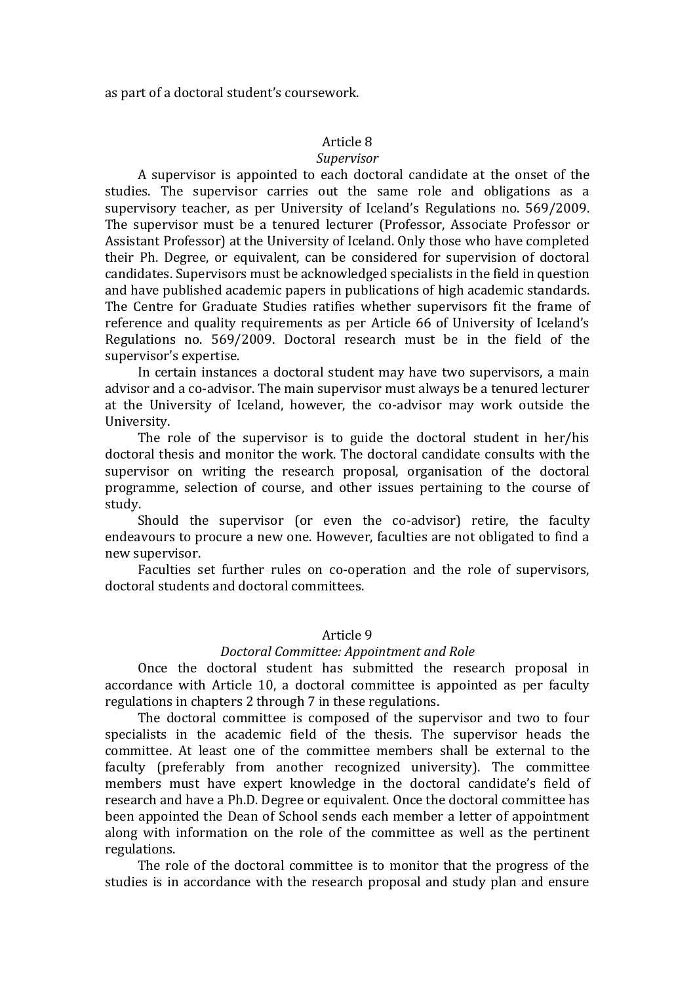as part of a doctoral student's coursework.

# Article 8

### *Supervisor*

A supervisor is appointed to each doctoral candidate at the onset of the studies. The supervisor carries out the same role and obligations as a supervisory teacher, as per University of Iceland's Regulations no. 569/2009. The supervisor must be a tenured lecturer (Professor, Associate Professor or Assistant Professor) at the University of Iceland. Only those who have completed their Ph. Degree, or equivalent, can be considered for supervision of doctoral candidates. Supervisors must be acknowledged specialists in the field in question and have published academic papers in publications of high academic standards. The Centre for Graduate Studies ratifies whether supervisors fit the frame of reference and quality requirements as per Article 66 of University of Iceland's Regulations no. 569/2009. Doctoral research must be in the field of the supervisor's expertise.

In certain instances a doctoral student may have two supervisors, a main advisor and a co-advisor. The main supervisor must always be a tenured lecturer at the University of Iceland, however, the co-advisor may work outside the University.

The role of the supervisor is to guide the doctoral student in her/his doctoral thesis and monitor the work. The doctoral candidate consults with the supervisor on writing the research proposal, organisation of the doctoral programme, selection of course, and other issues pertaining to the course of study.

Should the supervisor (or even the co-advisor) retire, the faculty endeavours to procure a new one. However, faculties are not obligated to find a new supervisor.

Faculties set further rules on co-operation and the role of supervisors, doctoral students and doctoral committees.

### Article 9

#### *Doctoral Committee: Appointment and Role*

Once the doctoral student has submitted the research proposal in accordance with Article 10, a doctoral committee is appointed as per faculty regulations in chapters 2 through 7 in these regulations.

The doctoral committee is composed of the supervisor and two to four specialists in the academic field of the thesis. The supervisor heads the committee. At least one of the committee members shall be external to the faculty (preferably from another recognized university). The committee members must have expert knowledge in the doctoral candidate's field of research and have a Ph.D. Degree or equivalent. Once the doctoral committee has been appointed the Dean of School sends each member a letter of appointment along with information on the role of the committee as well as the pertinent regulations.

The role of the doctoral committee is to monitor that the progress of the studies is in accordance with the research proposal and study plan and ensure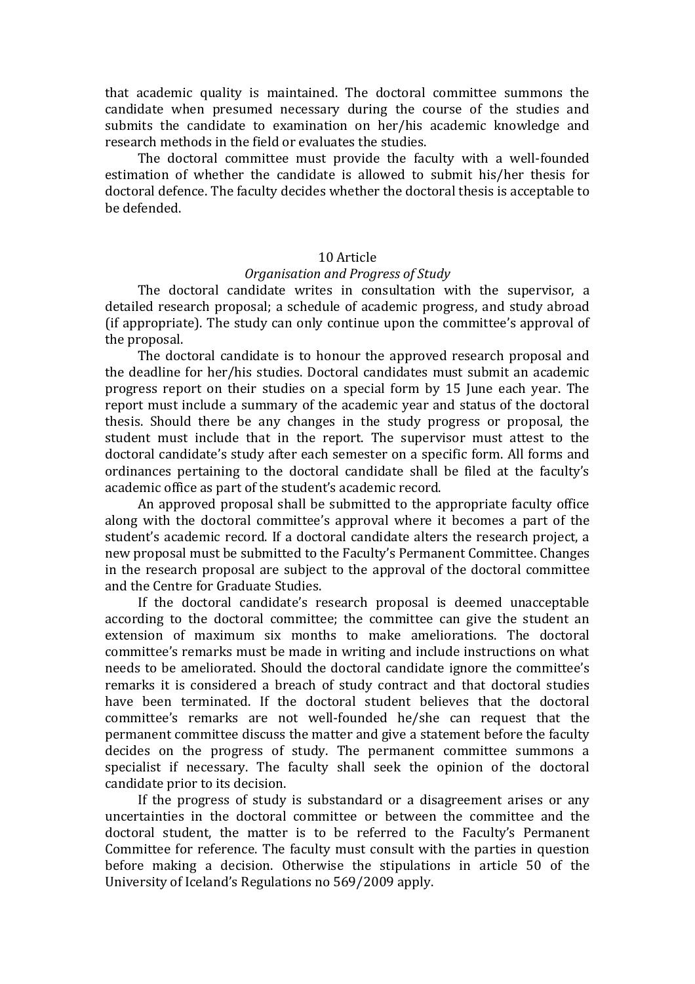that academic quality is maintained. The doctoral committee summons the candidate when presumed necessary during the course of the studies and submits the candidate to examination on her/his academic knowledge and research methods in the field or evaluates the studies.

The doctoral committee must provide the faculty with a well-founded estimation of whether the candidate is allowed to submit his/her thesis for doctoral defence. The faculty decides whether the doctoral thesis is acceptable to be defended.

### 10 Article

#### *Organisation and Progress of Study*

The doctoral candidate writes in consultation with the supervisor, a detailed research proposal; a schedule of academic progress, and study abroad (if appropriate). The study can only continue upon the committee's approval of the proposal.

The doctoral candidate is to honour the approved research proposal and the deadline for her/his studies. Doctoral candidates must submit an academic progress report on their studies on a special form by 15 June each year. The report must include a summary of the academic year and status of the doctoral thesis. Should there be any changes in the study progress or proposal, the student must include that in the report. The supervisor must attest to the doctoral candidate's study after each semester on a specific form. All forms and ordinances pertaining to the doctoral candidate shall be filed at the faculty's academic office as part of the student's academic record.

An approved proposal shall be submitted to the appropriate faculty office along with the doctoral committee's approval where it becomes a part of the student's academic record. If a doctoral candidate alters the research project, a new proposal must be submitted to the Faculty's Permanent Committee. Changes in the research proposal are subject to the approval of the doctoral committee and the Centre for Graduate Studies.

If the doctoral candidate's research proposal is deemed unacceptable according to the doctoral committee; the committee can give the student an extension of maximum six months to make ameliorations. The doctoral committee's remarks must be made in writing and include instructions on what needs to be ameliorated. Should the doctoral candidate ignore the committee's remarks it is considered a breach of study contract and that doctoral studies have been terminated. If the doctoral student believes that the doctoral committee's remarks are not well-founded he/she can request that the permanent committee discuss the matter and give a statement before the faculty decides on the progress of study. The permanent committee summons a specialist if necessary. The faculty shall seek the opinion of the doctoral candidate prior to its decision.

If the progress of study is substandard or a disagreement arises or any uncertainties in the doctoral committee or between the committee and the doctoral student, the matter is to be referred to the Faculty's Permanent Committee for reference. The faculty must consult with the parties in question before making a decision. Otherwise the stipulations in article 50 of the University of Iceland's Regulations no 569/2009 apply.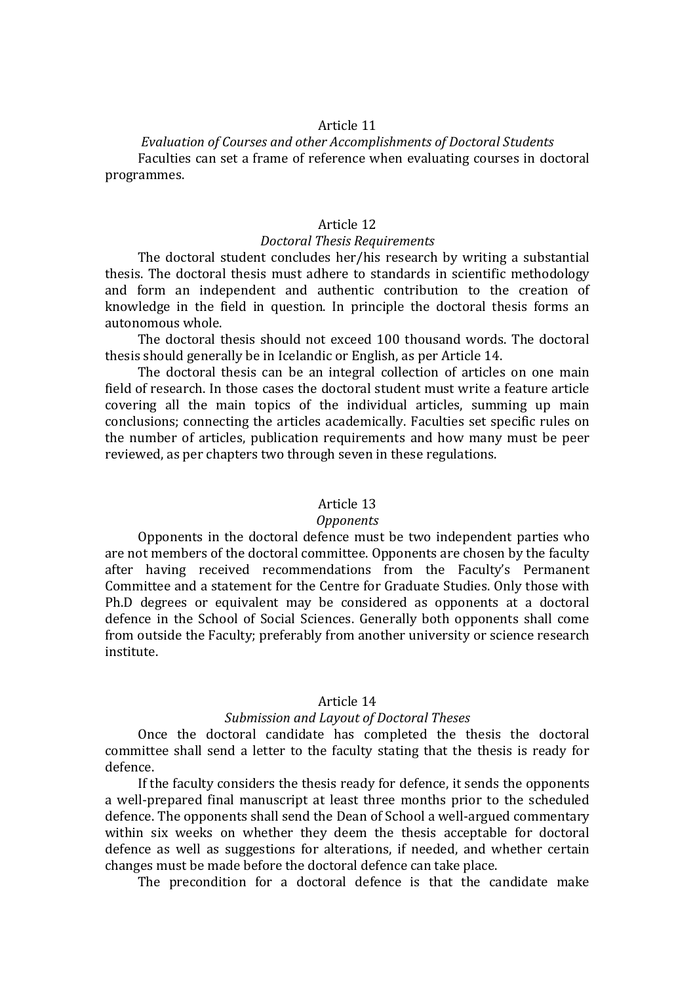*Evaluation of Courses and other Accomplishments of Doctoral Students* Faculties can set a frame of reference when evaluating courses in doctoral programmes.

# Article 12

### *Doctoral Thesis Requirements*

The doctoral student concludes her/his research by writing a substantial thesis. The doctoral thesis must adhere to standards in scientific methodology and form an independent and authentic contribution to the creation of knowledge in the field in question. In principle the doctoral thesis forms an autonomous whole.

The doctoral thesis should not exceed 100 thousand words. The doctoral thesis should generally be in Icelandic or English, as per Article 14.

The doctoral thesis can be an integral collection of articles on one main field of research. In those cases the doctoral student must write a feature article covering all the main topics of the individual articles, summing up main conclusions; connecting the articles academically. Faculties set specific rules on the number of articles, publication requirements and how many must be peer reviewed, as per chapters two through seven in these regulations.

### Article 13

#### *Opponents*

Opponents in the doctoral defence must be two independent parties who are not members of the doctoral committee. Opponents are chosen by the faculty after having received recommendations from the Faculty's Permanent Committee and a statement for the Centre for Graduate Studies. Only those with Ph.D degrees or equivalent may be considered as opponents at a doctoral defence in the School of Social Sciences. Generally both opponents shall come from outside the Faculty; preferably from another university or science research institute.

### Article 14

### *Submission and Layout of Doctoral Theses*

Once the doctoral candidate has completed the thesis the doctoral committee shall send a letter to the faculty stating that the thesis is ready for defence.

If the faculty considers the thesis ready for defence, it sends the opponents a well-prepared final manuscript at least three months prior to the scheduled defence. The opponents shall send the Dean of School a well-argued commentary within six weeks on whether they deem the thesis acceptable for doctoral defence as well as suggestions for alterations, if needed, and whether certain changes must be made before the doctoral defence can take place.

The precondition for a doctoral defence is that the candidate make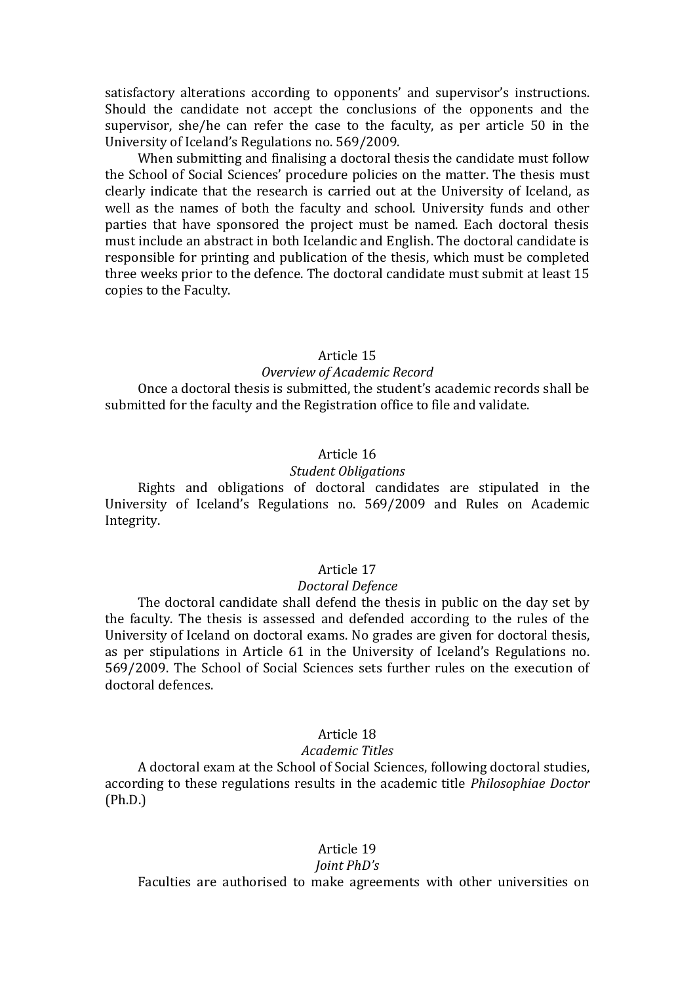satisfactory alterations according to opponents' and supervisor's instructions. Should the candidate not accept the conclusions of the opponents and the supervisor, she/he can refer the case to the faculty, as per article 50 in the University of Iceland's Regulations no. 569/2009.

When submitting and finalising a doctoral thesis the candidate must follow the School of Social Sciences' procedure policies on the matter. The thesis must clearly indicate that the research is carried out at the University of Iceland, as well as the names of both the faculty and school. University funds and other parties that have sponsored the project must be named. Each doctoral thesis must include an abstract in both Icelandic and English. The doctoral candidate is responsible for printing and publication of the thesis, which must be completed three weeks prior to the defence. The doctoral candidate must submit at least 15 copies to the Faculty.

# Article 15

#### *Overview of Academic Record*

Once a doctoral thesis is submitted, the student's academic records shall be submitted for the faculty and the Registration office to file and validate.

# Article 16

#### *Student Obligations*

Rights and obligations of doctoral candidates are stipulated in the University of Iceland's Regulations no. 569/2009 and Rules on Academic Integrity.

### Article 17

#### *Doctoral Defence*

The doctoral candidate shall defend the thesis in public on the day set by the faculty. The thesis is assessed and defended according to the rules of the University of Iceland on doctoral exams. No grades are given for doctoral thesis, as per stipulations in Article 61 in the University of Iceland's Regulations no. 569/2009. The School of Social Sciences sets further rules on the execution of doctoral defences.

#### Article 18

#### *Academic Titles*

A doctoral exam at the School of Social Sciences, following doctoral studies, according to these regulations results in the academic title *Philosophiae Doctor*  (Ph.D.)

### Article 19

#### *Joint PhD's*

Faculties are authorised to make agreements with other universities on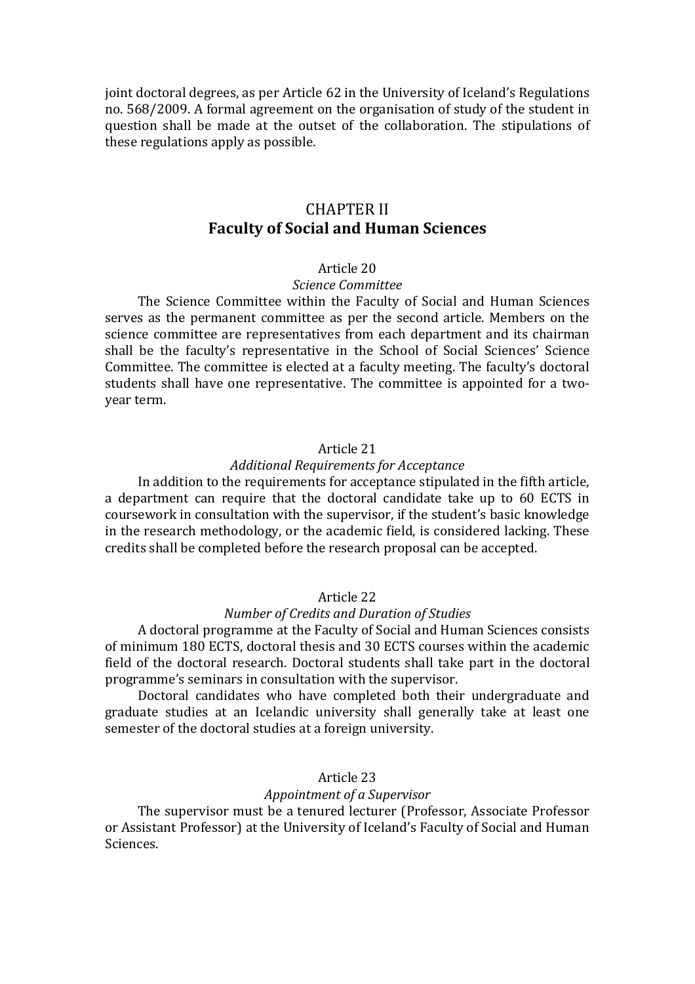joint doctoral degrees, as per Article 62 in the University of Iceland's Regulations no. 568/2009. A formal agreement on the organisation of study of the student in question shall be made at the outset of the collaboration. The stipulations of these regulations apply as possible.

# CHAPTER II **Faculty of Social and Human Sciences**

### Article 20

# *Science Committee*

The Science Committee within the Faculty of Social and Human Sciences serves as the permanent committee as per the second article. Members on the science committee are representatives from each department and its chairman shall be the faculty's representative in the School of Social Sciences' Science Committee. The committee is elected at a faculty meeting. The faculty's doctoral students shall have one representative. The committee is appointed for a twoyear term.

### Article 21

#### *Additional Requirements for Acceptance*

In addition to the requirements for acceptance stipulated in the fifth article, a department can require that the doctoral candidate take up to 60 ECTS in coursework in consultation with the supervisor, if the student's basic knowledge in the research methodology, or the academic field, is considered lacking. These credits shall be completed before the research proposal can be accepted.

### Article 22

# *Number of Credits and Duration of Studies*

A doctoral programme at the Faculty of Social and Human Sciences consists of minimum 180 ECTS, doctoral thesis and 30 ECTS courses within the academic field of the doctoral research. Doctoral students shall take part in the doctoral programme's seminars in consultation with the supervisor.

Doctoral candidates who have completed both their undergraduate and graduate studies at an Icelandic university shall generally take at least one semester of the doctoral studies at a foreign university.

### Article 23

#### *Appointment of a Supervisor*

The supervisor must be a tenured lecturer (Professor, Associate Professor or Assistant Professor) at the University of Iceland's Faculty of Social and Human Sciences.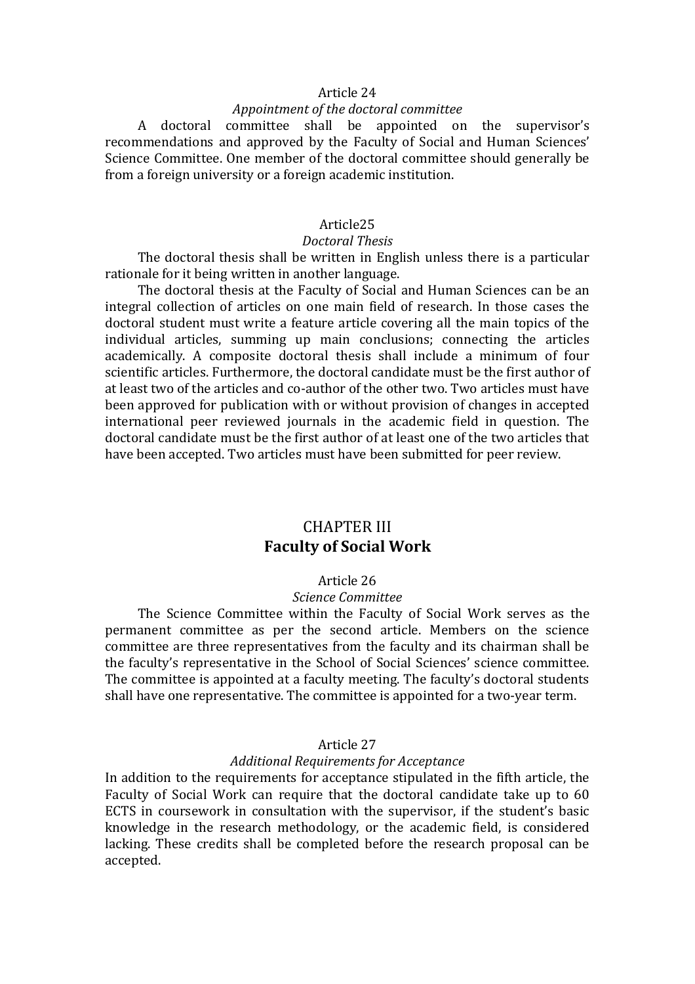### *Appointment of the doctoral committee*

A doctoral committee shall be appointed on the supervisor's recommendations and approved by the Faculty of Social and Human Sciences' Science Committee. One member of the doctoral committee should generally be from a foreign university or a foreign academic institution.

# Article25

### *Doctoral Thesis*

The doctoral thesis shall be written in English unless there is a particular rationale for it being written in another language.

The doctoral thesis at the Faculty of Social and Human Sciences can be an integral collection of articles on one main field of research. In those cases the doctoral student must write a feature article covering all the main topics of the individual articles, summing up main conclusions; connecting the articles academically. A composite doctoral thesis shall include a minimum of four scientific articles. Furthermore, the doctoral candidate must be the first author of at least two of the articles and co-author of the other two. Two articles must have been approved for publication with or without provision of changes in accepted international peer reviewed journals in the academic field in question. The doctoral candidate must be the first author of at least one of the two articles that have been accepted. Two articles must have been submitted for peer review.

# CHAPTER III **Faculty of Social Work**

#### Article 26

### *Science Committee*

The Science Committee within the Faculty of Social Work serves as the permanent committee as per the second article. Members on the science committee are three representatives from the faculty and its chairman shall be the faculty's representative in the School of Social Sciences' science committee. The committee is appointed at a faculty meeting. The faculty's doctoral students shall have one representative. The committee is appointed for a two-year term.

### Article 27

## *Additional Requirements for Acceptance*

In addition to the requirements for acceptance stipulated in the fifth article, the Faculty of Social Work can require that the doctoral candidate take up to 60 ECTS in coursework in consultation with the supervisor, if the student's basic knowledge in the research methodology, or the academic field, is considered lacking. These credits shall be completed before the research proposal can be accepted.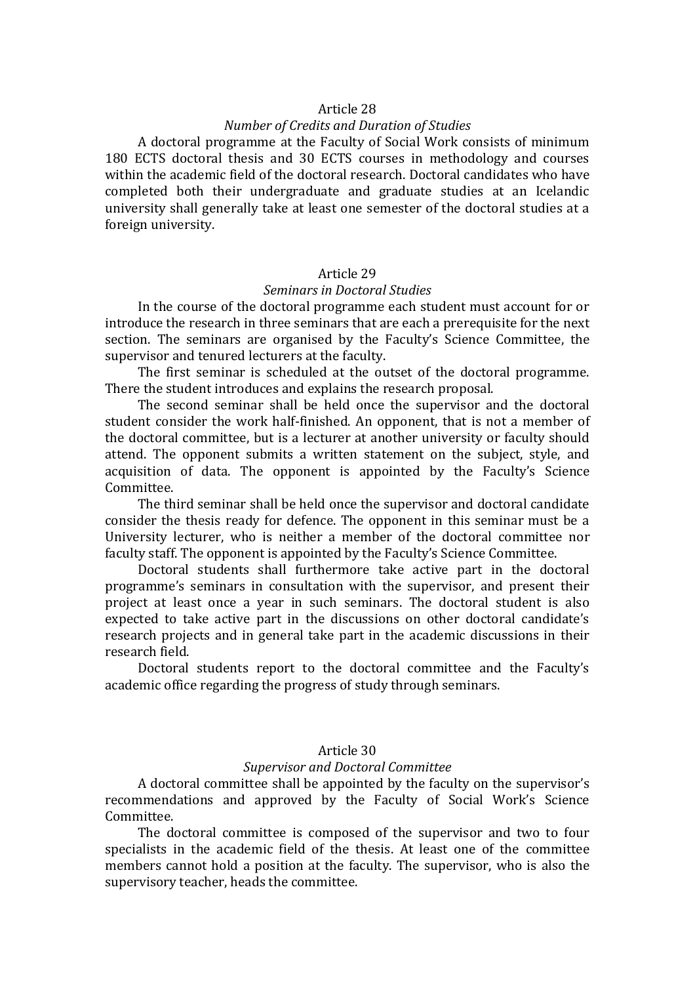## *Number of Credits and Duration of Studies*

A doctoral programme at the Faculty of Social Work consists of minimum 180 ECTS doctoral thesis and 30 ECTS courses in methodology and courses within the academic field of the doctoral research. Doctoral candidates who have completed both their undergraduate and graduate studies at an Icelandic university shall generally take at least one semester of the doctoral studies at a foreign university.

#### Article 29

## *Seminars in Doctoral Studies*

In the course of the doctoral programme each student must account for or introduce the research in three seminars that are each a prerequisite for the next section. The seminars are organised by the Faculty's Science Committee, the supervisor and tenured lecturers at the faculty.

The first seminar is scheduled at the outset of the doctoral programme. There the student introduces and explains the research proposal.

The second seminar shall be held once the supervisor and the doctoral student consider the work half-finished. An opponent, that is not a member of the doctoral committee, but is a lecturer at another university or faculty should attend. The opponent submits a written statement on the subject, style, and acquisition of data. The opponent is appointed by the Faculty's Science Committee.

The third seminar shall be held once the supervisor and doctoral candidate consider the thesis ready for defence. The opponent in this seminar must be a University lecturer, who is neither a member of the doctoral committee nor faculty staff. The opponent is appointed by the Faculty's Science Committee.

Doctoral students shall furthermore take active part in the doctoral programme's seminars in consultation with the supervisor, and present their project at least once a year in such seminars. The doctoral student is also expected to take active part in the discussions on other doctoral candidate's research projects and in general take part in the academic discussions in their research field.

Doctoral students report to the doctoral committee and the Faculty's academic office regarding the progress of study through seminars.

### Article 30

## *Supervisor and Doctoral Committee*

A doctoral committee shall be appointed by the faculty on the supervisor's recommendations and approved by the Faculty of Social Work's Science Committee.

The doctoral committee is composed of the supervisor and two to four specialists in the academic field of the thesis. At least one of the committee members cannot hold a position at the faculty. The supervisor, who is also the supervisory teacher, heads the committee.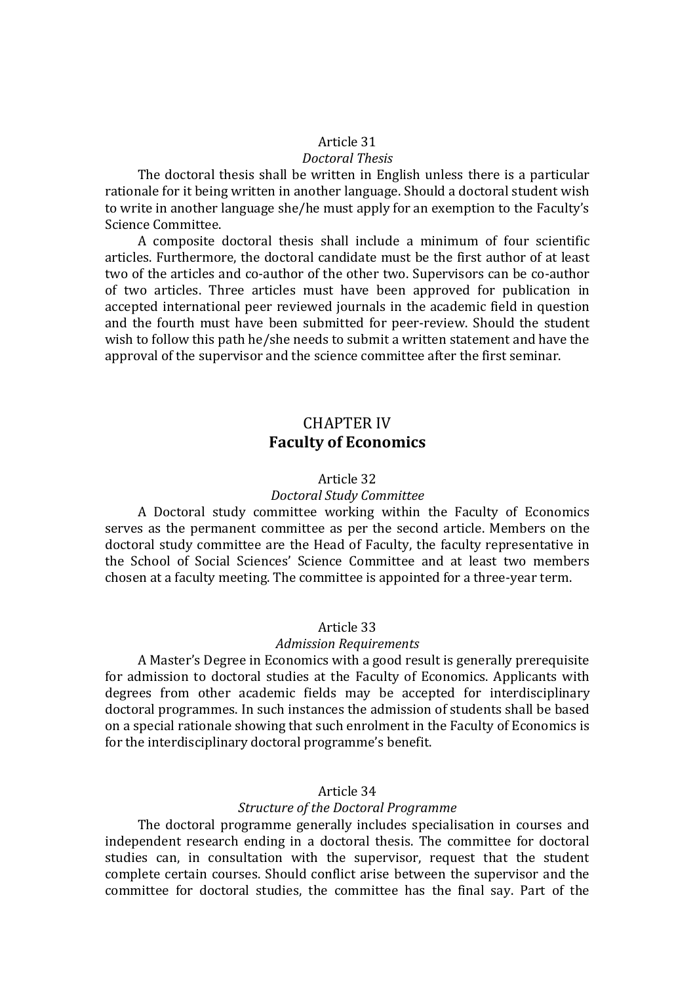#### *Doctoral Thesis*

The doctoral thesis shall be written in English unless there is a particular rationale for it being written in another language. Should a doctoral student wish to write in another language she/he must apply for an exemption to the Faculty's Science Committee.

A composite doctoral thesis shall include a minimum of four scientific articles. Furthermore, the doctoral candidate must be the first author of at least two of the articles and co-author of the other two. Supervisors can be co-author of two articles. Three articles must have been approved for publication in accepted international peer reviewed journals in the academic field in question and the fourth must have been submitted for peer-review. Should the student wish to follow this path he/she needs to submit a written statement and have the approval of the supervisor and the science committee after the first seminar.

# CHAPTER IV **Faculty of Economics**

### Article 32

#### *Doctoral Study Committee*

A Doctoral study committee working within the Faculty of Economics serves as the permanent committee as per the second article. Members on the doctoral study committee are the Head of Faculty, the faculty representative in the School of Social Sciences' Science Committee and at least two members chosen at a faculty meeting. The committee is appointed for a three-year term.

#### Article 33

#### *Admission Requirements*

A Master's Degree in Economics with a good result is generally prerequisite for admission to doctoral studies at the Faculty of Economics. Applicants with degrees from other academic fields may be accepted for interdisciplinary doctoral programmes. In such instances the admission of students shall be based on a special rationale showing that such enrolment in the Faculty of Economics is for the interdisciplinary doctoral programme's benefit.

### Article 34

#### *Structure of the Doctoral Programme*

The doctoral programme generally includes specialisation in courses and independent research ending in a doctoral thesis. The committee for doctoral studies can, in consultation with the supervisor, request that the student complete certain courses. Should conflict arise between the supervisor and the committee for doctoral studies, the committee has the final say. Part of the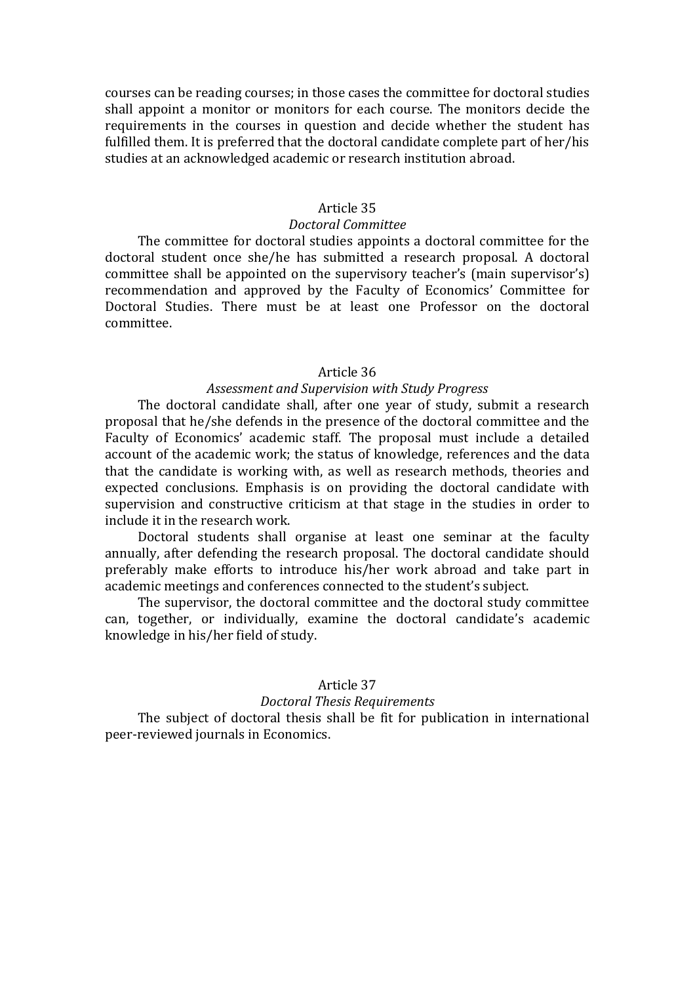courses can be reading courses; in those cases the committee for doctoral studies shall appoint a monitor or monitors for each course. The monitors decide the requirements in the courses in question and decide whether the student has fulfilled them. It is preferred that the doctoral candidate complete part of her/his studies at an acknowledged academic or research institution abroad.

#### Article 35

### *Doctoral Committee*

The committee for doctoral studies appoints a doctoral committee for the doctoral student once she/he has submitted a research proposal. A doctoral committee shall be appointed on the supervisory teacher's (main supervisor's) recommendation and approved by the Faculty of Economics' Committee for Doctoral Studies. There must be at least one Professor on the doctoral committee.

### Article 36

#### *Assessment and Supervision with Study Progress*

The doctoral candidate shall, after one year of study, submit a research proposal that he/she defends in the presence of the doctoral committee and the Faculty of Economics' academic staff. The proposal must include a detailed account of the academic work; the status of knowledge, references and the data that the candidate is working with, as well as research methods, theories and expected conclusions. Emphasis is on providing the doctoral candidate with supervision and constructive criticism at that stage in the studies in order to include it in the research work.

Doctoral students shall organise at least one seminar at the faculty annually, after defending the research proposal. The doctoral candidate should preferably make efforts to introduce his/her work abroad and take part in academic meetings and conferences connected to the student's subject.

The supervisor, the doctoral committee and the doctoral study committee can, together, or individually, examine the doctoral candidate's academic knowledge in his/her field of study.

#### Article 37

### *Doctoral Thesis Requirements*

The subject of doctoral thesis shall be fit for publication in international peer-reviewed journals in Economics.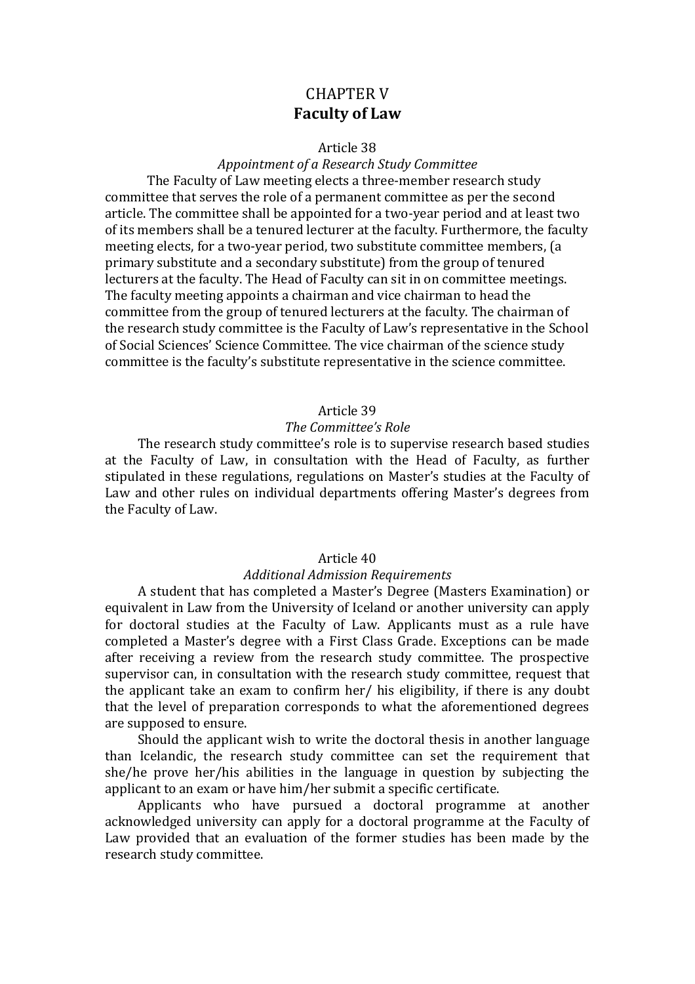# CHAPTER V **Faculty of Law**

#### Article 38

### *Appointment of a Research Study Committee*

The Faculty of Law meeting elects a three-member research study committee that serves the role of a permanent committee as per the second article. The committee shall be appointed for a two-year period and at least two of its members shall be a tenured lecturer at the faculty. Furthermore, the faculty meeting elects, for a two-year period, two substitute committee members, (a primary substitute and a secondary substitute) from the group of tenured lecturers at the faculty. The Head of Faculty can sit in on committee meetings. The faculty meeting appoints a chairman and vice chairman to head the committee from the group of tenured lecturers at the faculty. The chairman of the research study committee is the Faculty of Law's representative in the School of Social Sciences' Science Committee. The vice chairman of the science study committee is the faculty's substitute representative in the science committee.

#### Article 39

#### *The Committee's Role*

The research study committee's role is to supervise research based studies at the Faculty of Law, in consultation with the Head of Faculty, as further stipulated in these regulations, regulations on Master's studies at the Faculty of Law and other rules on individual departments offering Master's degrees from the Faculty of Law.

# Article 40

## *Additional Admission Requirements*

A student that has completed a Master's Degree (Masters Examination) or equivalent in Law from the University of Iceland or another university can apply for doctoral studies at the Faculty of Law. Applicants must as a rule have completed a Master's degree with a First Class Grade. Exceptions can be made after receiving a review from the research study committee. The prospective supervisor can, in consultation with the research study committee, request that the applicant take an exam to confirm her/ his eligibility, if there is any doubt that the level of preparation corresponds to what the aforementioned degrees are supposed to ensure.

Should the applicant wish to write the doctoral thesis in another language than Icelandic, the research study committee can set the requirement that she/he prove her/his abilities in the language in question by subjecting the applicant to an exam or have him/her submit a specific certificate.

Applicants who have pursued a doctoral programme at another acknowledged university can apply for a doctoral programme at the Faculty of Law provided that an evaluation of the former studies has been made by the research study committee.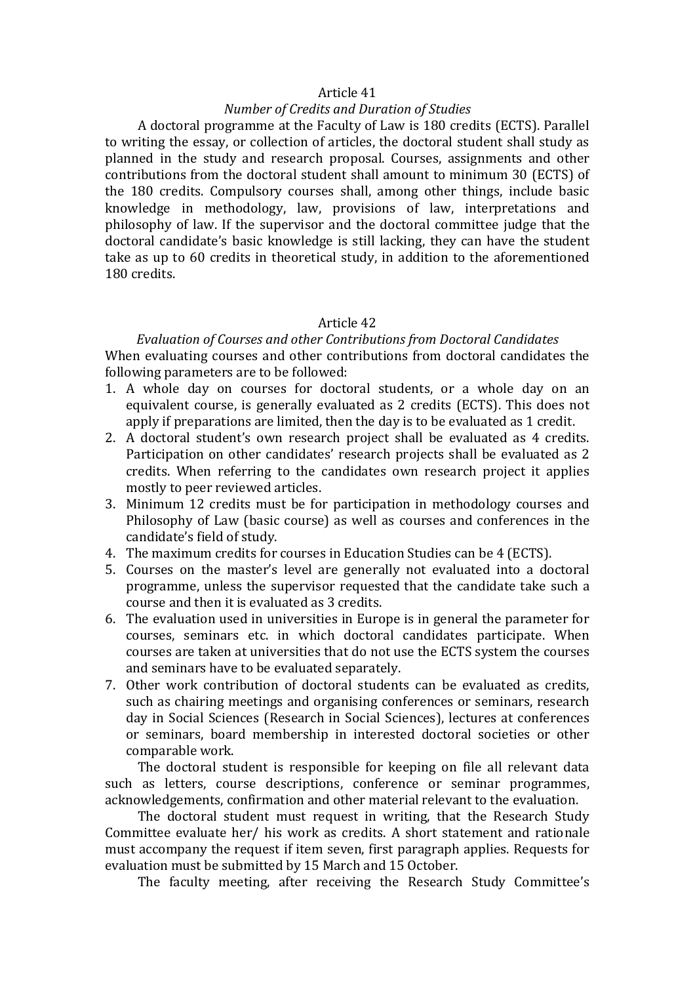### *Number of Credits and Duration of Studies*

A doctoral programme at the Faculty of Law is 180 credits (ECTS). Parallel to writing the essay, or collection of articles, the doctoral student shall study as planned in the study and research proposal. Courses, assignments and other contributions from the doctoral student shall amount to minimum 30 (ECTS) of the 180 credits. Compulsory courses shall, among other things, include basic knowledge in methodology, law, provisions of law, interpretations and philosophy of law. If the supervisor and the doctoral committee judge that the doctoral candidate's basic knowledge is still lacking, they can have the student take as up to 60 credits in theoretical study, in addition to the aforementioned 180 credits.

### Article 42

# *Evaluation of Courses and other Contributions from Doctoral Candidates* When evaluating courses and other contributions from doctoral candidates the following parameters are to be followed:

- 1. A whole day on courses for doctoral students, or a whole day on an equivalent course, is generally evaluated as 2 credits (ECTS). This does not apply if preparations are limited, then the day is to be evaluated as 1 credit.
- 2. A doctoral student's own research project shall be evaluated as 4 credits. Participation on other candidates' research projects shall be evaluated as 2 credits. When referring to the candidates own research project it applies mostly to peer reviewed articles.
- 3. Minimum 12 credits must be for participation in methodology courses and Philosophy of Law (basic course) as well as courses and conferences in the candidate's field of study.
- 4. The maximum credits for courses in Education Studies can be 4 (ECTS).
- 5. Courses on the master's level are generally not evaluated into a doctoral programme, unless the supervisor requested that the candidate take such a course and then it is evaluated as 3 credits.
- 6. The evaluation used in universities in Europe is in general the parameter for courses, seminars etc. in which doctoral candidates participate. When courses are taken at universities that do not use the ECTS system the courses and seminars have to be evaluated separately.
- 7. Other work contribution of doctoral students can be evaluated as credits, such as chairing meetings and organising conferences or seminars, research day in Social Sciences (Research in Social Sciences), lectures at conferences or seminars, board membership in interested doctoral societies or other comparable work.

The doctoral student is responsible for keeping on file all relevant data such as letters, course descriptions, conference or seminar programmes, acknowledgements, confirmation and other material relevant to the evaluation.

The doctoral student must request in writing, that the Research Study Committee evaluate her/ his work as credits. A short statement and rationale must accompany the request if item seven, first paragraph applies. Requests for evaluation must be submitted by 15 March and 15 October.

The faculty meeting, after receiving the Research Study Committee's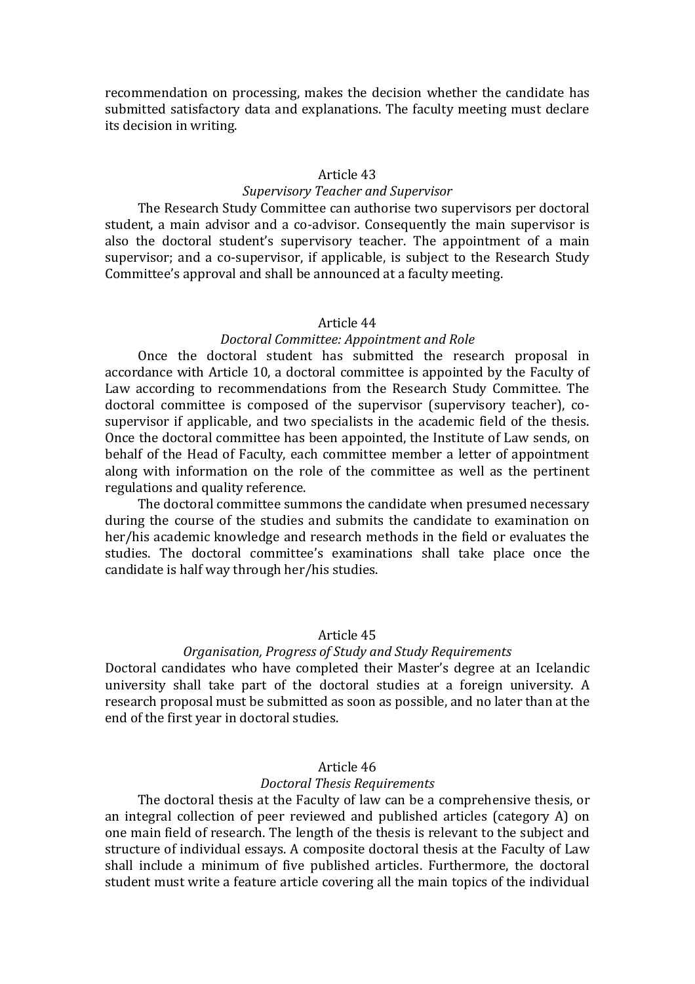recommendation on processing, makes the decision whether the candidate has submitted satisfactory data and explanations. The faculty meeting must declare its decision in writing.

### Article 43

### *Supervisory Teacher and Supervisor*

The Research Study Committee can authorise two supervisors per doctoral student, a main advisor and a co-advisor. Consequently the main supervisor is also the doctoral student's supervisory teacher. The appointment of a main supervisor; and a co-supervisor, if applicable, is subject to the Research Study Committee's approval and shall be announced at a faculty meeting.

#### Article 44

## *Doctoral Committee: Appointment and Role*

Once the doctoral student has submitted the research proposal in accordance with Article 10, a doctoral committee is appointed by the Faculty of Law according to recommendations from the Research Study Committee. The doctoral committee is composed of the supervisor (supervisory teacher), cosupervisor if applicable, and two specialists in the academic field of the thesis. Once the doctoral committee has been appointed, the Institute of Law sends, on behalf of the Head of Faculty, each committee member a letter of appointment along with information on the role of the committee as well as the pertinent regulations and quality reference.

The doctoral committee summons the candidate when presumed necessary during the course of the studies and submits the candidate to examination on her/his academic knowledge and research methods in the field or evaluates the studies. The doctoral committee's examinations shall take place once the candidate is half way through her/his studies.

## Article 45

# *Organisation, Progress of Study and Study Requirements*

Doctoral candidates who have completed their Master's degree at an Icelandic university shall take part of the doctoral studies at a foreign university. A research proposal must be submitted as soon as possible, and no later than at the end of the first year in doctoral studies.

# Article 46

#### *Doctoral Thesis Requirements*

The doctoral thesis at the Faculty of law can be a comprehensive thesis, or an integral collection of peer reviewed and published articles (category A) on one main field of research. The length of the thesis is relevant to the subject and structure of individual essays. A composite doctoral thesis at the Faculty of Law shall include a minimum of five published articles. Furthermore, the doctoral student must write a feature article covering all the main topics of the individual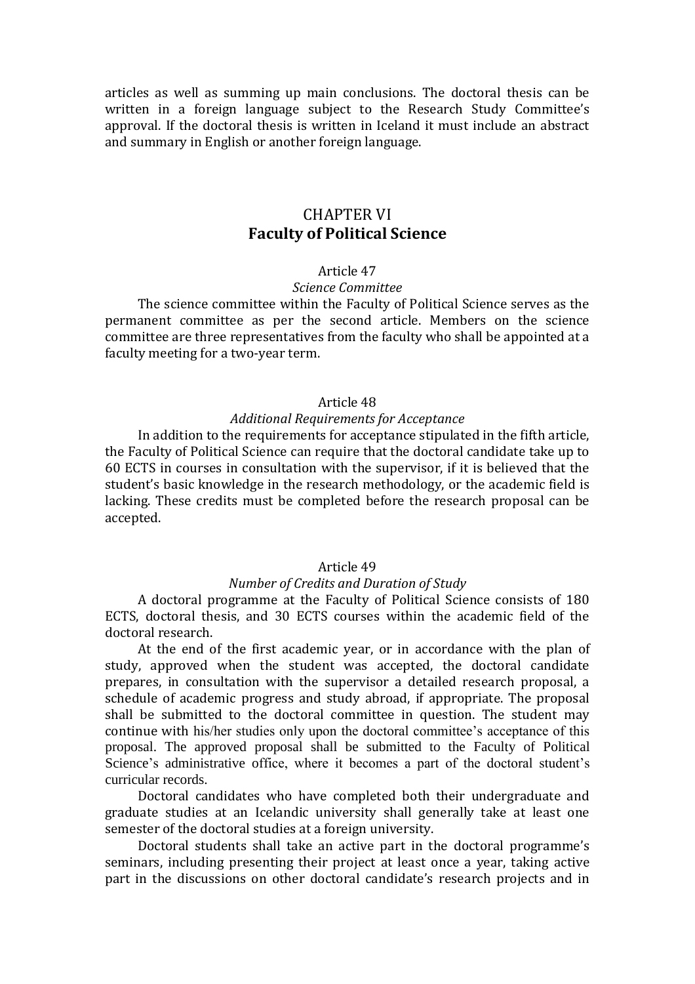articles as well as summing up main conclusions. The doctoral thesis can be written in a foreign language subject to the Research Study Committee's approval. If the doctoral thesis is written in Iceland it must include an abstract and summary in English or another foreign language.

# CHAPTER VI **Faculty of Political Science**

### Article 47

# *Science Committee*

The science committee within the Faculty of Political Science serves as the permanent committee as per the second article. Members on the science committee are three representatives from the faculty who shall be appointed at a faculty meeting for a two-year term.

### Article 48

### *Additional Requirements for Acceptance*

In addition to the requirements for acceptance stipulated in the fifth article, the Faculty of Political Science can require that the doctoral candidate take up to 60 ECTS in courses in consultation with the supervisor, if it is believed that the student's basic knowledge in the research methodology, or the academic field is lacking. These credits must be completed before the research proposal can be accepted.

### Article 49

### *Number of Credits and Duration of Study*

A doctoral programme at the Faculty of Political Science consists of 180 ECTS, doctoral thesis, and 30 ECTS courses within the academic field of the doctoral research.

At the end of the first academic year, or in accordance with the plan of study, approved when the student was accepted, the doctoral candidate prepares, in consultation with the supervisor a detailed research proposal, a schedule of academic progress and study abroad, if appropriate. The proposal shall be submitted to the doctoral committee in question. The student may continue with his/her studies only upon the doctoral committee's acceptance of this proposal. The approved proposal shall be submitted to the Faculty of Political Science's administrative office, where it becomes a part of the doctoral student's curricular records.

Doctoral candidates who have completed both their undergraduate and graduate studies at an Icelandic university shall generally take at least one semester of the doctoral studies at a foreign university.

Doctoral students shall take an active part in the doctoral programme's seminars, including presenting their project at least once a year, taking active part in the discussions on other doctoral candidate's research projects and in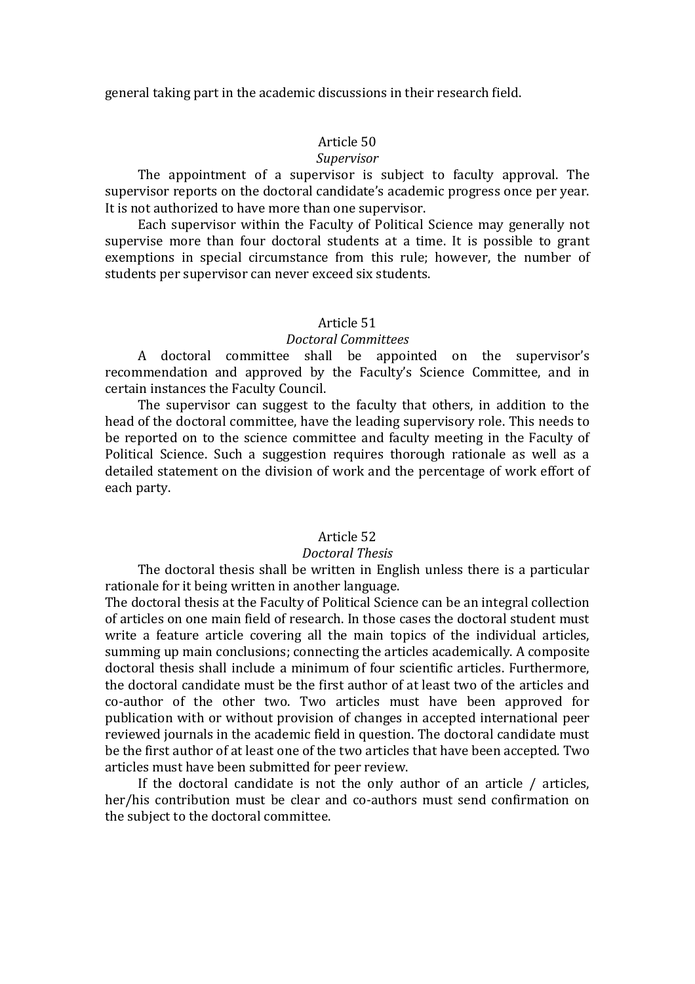general taking part in the academic discussions in their research field.

# Article 50

#### *Supervisor*

The appointment of a supervisor is subject to faculty approval. The supervisor reports on the doctoral candidate's academic progress once per year. It is not authorized to have more than one supervisor.

Each supervisor within the Faculty of Political Science may generally not supervise more than four doctoral students at a time. It is possible to grant exemptions in special circumstance from this rule; however, the number of students per supervisor can never exceed six students.

#### Article 51

### *Doctoral Committees*

A doctoral committee shall be appointed on the supervisor's recommendation and approved by the Faculty's Science Committee, and in certain instances the Faculty Council.

The supervisor can suggest to the faculty that others, in addition to the head of the doctoral committee, have the leading supervisory role. This needs to be reported on to the science committee and faculty meeting in the Faculty of Political Science. Such a suggestion requires thorough rationale as well as a detailed statement on the division of work and the percentage of work effort of each party.

# Article 52

#### *Doctoral Thesis*

The doctoral thesis shall be written in English unless there is a particular rationale for it being written in another language.

The doctoral thesis at the Faculty of Political Science can be an integral collection of articles on one main field of research. In those cases the doctoral student must write a feature article covering all the main topics of the individual articles, summing up main conclusions; connecting the articles academically. A composite doctoral thesis shall include a minimum of four scientific articles. Furthermore, the doctoral candidate must be the first author of at least two of the articles and co-author of the other two. Two articles must have been approved for publication with or without provision of changes in accepted international peer reviewed journals in the academic field in question. The doctoral candidate must be the first author of at least one of the two articles that have been accepted. Two articles must have been submitted for peer review.

If the doctoral candidate is not the only author of an article / articles, her/his contribution must be clear and co-authors must send confirmation on the subject to the doctoral committee.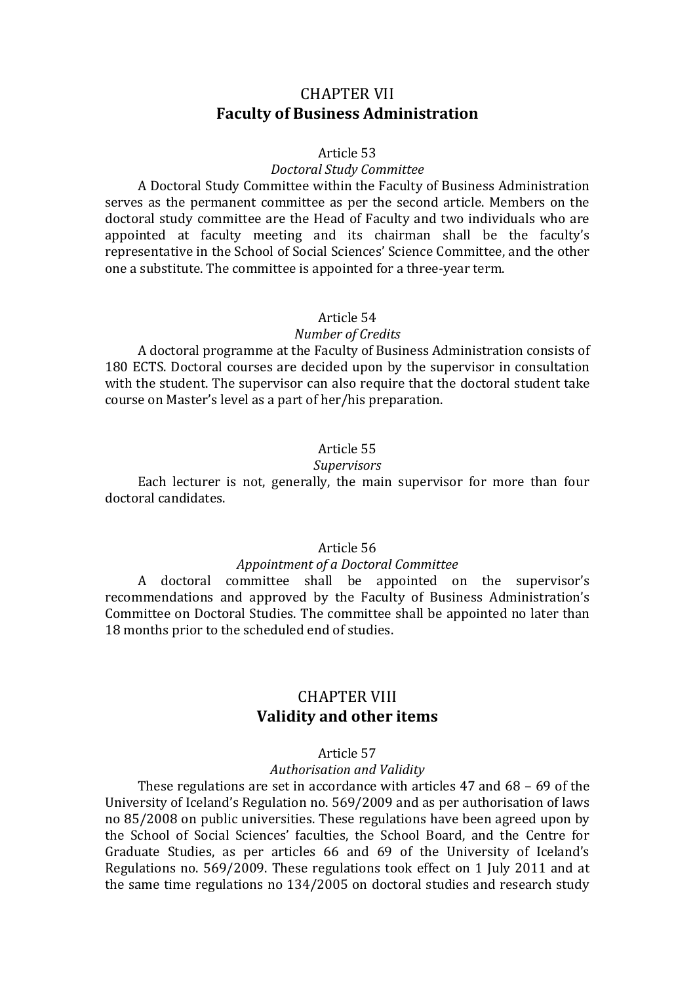# CHAPTER VII **Faculty of Business Administration**

### Article 53

#### *Doctoral Study Committee*

A Doctoral Study Committee within the Faculty of Business Administration serves as the permanent committee as per the second article. Members on the doctoral study committee are the Head of Faculty and two individuals who are appointed at faculty meeting and its chairman shall be the faculty's representative in the School of Social Sciences' Science Committee, and the other one a substitute. The committee is appointed for a three-year term.

#### Article 54

#### *Number of Credits*

A doctoral programme at the Faculty of Business Administration consists of 180 ECTS. Doctoral courses are decided upon by the supervisor in consultation with the student. The supervisor can also require that the doctoral student take course on Master's level as a part of her/his preparation.

### Article 55

#### *Supervisors*

Each lecturer is not, generally, the main supervisor for more than four doctoral candidates.

### Article 56

#### *Appointment of a Doctoral Committee*

A doctoral committee shall be appointed on the supervisor's recommendations and approved by the Faculty of Business Administration's Committee on Doctoral Studies. The committee shall be appointed no later than 18 months prior to the scheduled end of studies.

# CHAPTER VIII **Validity and other items**

#### Article 57

#### *Authorisation and Validity*

These regulations are set in accordance with articles 47 and 68 – 69 of the University of Iceland's Regulation no. 569/2009 and as per authorisation of laws no 85/2008 on public universities. These regulations have been agreed upon by the School of Social Sciences' faculties, the School Board, and the Centre for Graduate Studies, as per articles 66 and 69 of the University of Iceland's Regulations no. 569/2009. These regulations took effect on 1 July 2011 and at the same time regulations no 134/2005 on doctoral studies and research study